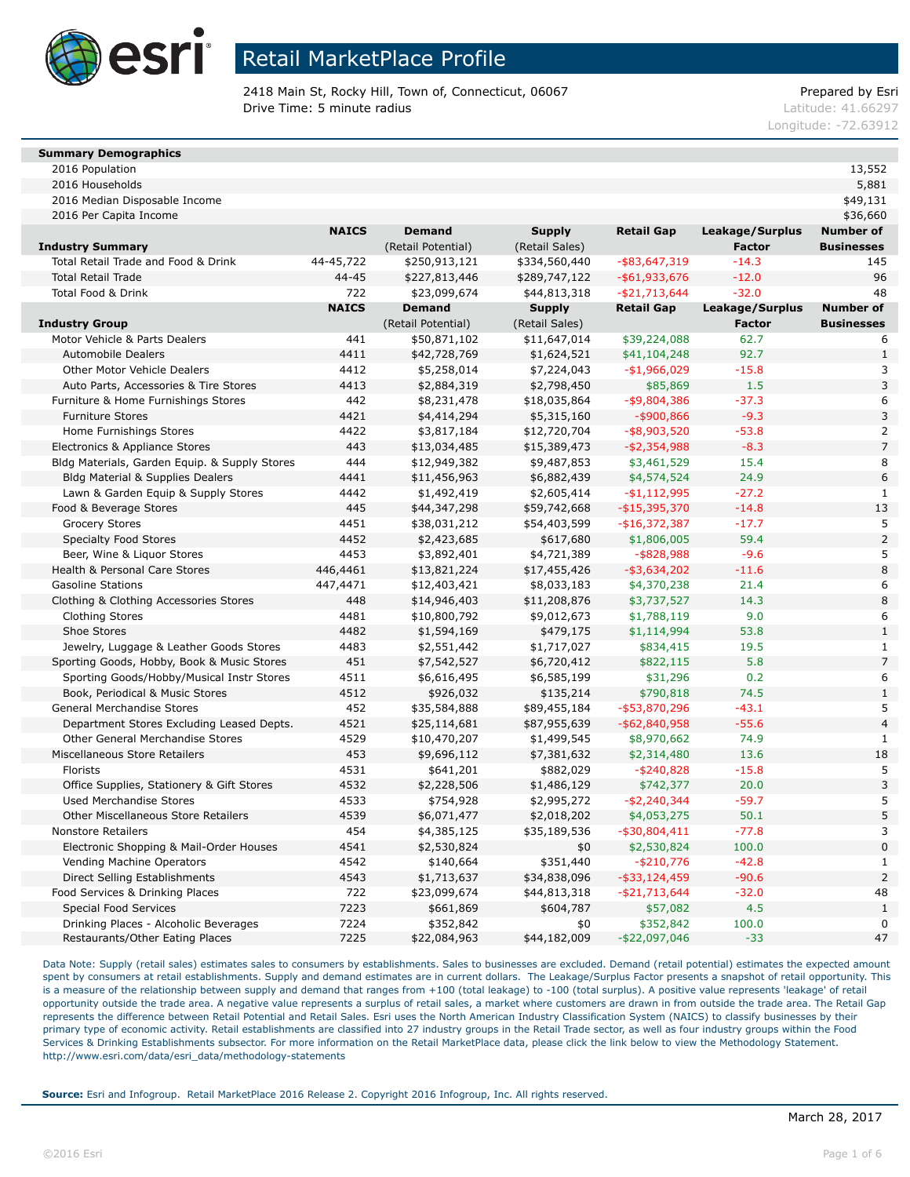

2418 Main St, Rocky Hill, Town of, Connecticut, 06067 Prepared by Esri **Drive Time: 5 minute radius Contract Contract Contract Contract Contract Contract Contract Contract Contract Contract Contract Contract Contract Contract Contract Contract Contract Contract Contract Contract Contract Co** 

Longitude: -72.63912

### **Summary Demographics**

2016 Population 13,552 2016 Households 5,881

| 2016 Median Disposable Income | \$49,131 |
|-------------------------------|----------|

| 2016 Per Capita Income | \$36,660 |
|------------------------|----------|

|                                               | <b>NAICS</b> | <b>Demand</b>      | <b>Supply</b>  | <b>Retail Gap</b> | Leakage/Surplus | <b>Number of</b>  |
|-----------------------------------------------|--------------|--------------------|----------------|-------------------|-----------------|-------------------|
| <b>Industry Summary</b>                       |              | (Retail Potential) | (Retail Sales) |                   | <b>Factor</b>   | <b>Businesses</b> |
| Total Retail Trade and Food & Drink           | 44-45,722    | \$250,913,121      | \$334,560,440  | $-$ \$83,647,319  | $-14.3$         | 145               |
| <b>Total Retail Trade</b>                     | 44-45        | \$227,813,446      | \$289,747,122  | $-$ \$61,933,676  | $-12.0$         | 96                |
| Total Food & Drink                            | 722          | \$23,099,674       | \$44,813,318   | $-$ \$21,713,644  | $-32.0$         | 48                |
|                                               | <b>NAICS</b> | <b>Demand</b>      | <b>Supply</b>  | <b>Retail Gap</b> | Leakage/Surplus | <b>Number of</b>  |
| <b>Industry Group</b>                         |              | (Retail Potential) | (Retail Sales) |                   | <b>Factor</b>   | <b>Businesses</b> |
| Motor Vehicle & Parts Dealers                 | 441          | \$50,871,102       | \$11,647,014   | \$39,224,088      | 62.7            | 6                 |
| <b>Automobile Dealers</b>                     | 4411         | \$42,728,769       | \$1,624,521    | \$41,104,248      | 92.7            | $\mathbf{1}$      |
| Other Motor Vehicle Dealers                   | 4412         | \$5,258,014        | \$7,224,043    | $-$1,966,029$     | $-15.8$         | 3                 |
| Auto Parts, Accessories & Tire Stores         | 4413         | \$2,884,319        | \$2,798,450    | \$85,869          | 1.5             | $\overline{3}$    |
| Furniture & Home Furnishings Stores           | 442          | \$8,231,478        | \$18,035,864   | $-$ \$9,804,386   | $-37.3$         | 6                 |
| <b>Furniture Stores</b>                       | 4421         | \$4,414,294        | \$5,315,160    | $-$ \$900,866     | $-9.3$          | 3                 |
| Home Furnishings Stores                       | 4422         | \$3,817,184        | \$12,720,704   | $-$ \$8,903,520   | $-53.8$         | 2                 |
| Electronics & Appliance Stores                | 443          | \$13,034,485       | \$15,389,473   | $- $2,354,988$    | $-8.3$          | $\overline{7}$    |
| Bldg Materials, Garden Equip. & Supply Stores | 444          | \$12,949,382       | \$9,487,853    | \$3,461,529       | 15.4            | 8                 |
| Bldg Material & Supplies Dealers              | 4441         | \$11,456,963       | \$6,882,439    | \$4,574,524       | 24.9            | 6                 |
| Lawn & Garden Equip & Supply Stores           | 4442         | \$1,492,419        | \$2,605,414    | $-$1,112,995$     | $-27.2$         | $\mathbf{1}$      |
| Food & Beverage Stores                        | 445          | \$44,347,298       | \$59,742,668   | $-$ \$15,395,370  | $-14.8$         | 13                |
| <b>Grocery Stores</b>                         | 4451         | \$38,031,212       | \$54,403,599   | $-$16,372,387$    | $-17.7$         | 5                 |
| <b>Specialty Food Stores</b>                  | 4452         | \$2,423,685        | \$617,680      | \$1,806,005       | 59.4            | $\overline{2}$    |
| Beer, Wine & Liquor Stores                    | 4453         | \$3,892,401        | \$4,721,389    | $-$ \$828,988     | $-9.6$          | 5                 |
| Health & Personal Care Stores                 | 446,4461     | \$13,821,224       | \$17,455,426   | $-$ \$3,634,202   | $-11.6$         | 8                 |
| <b>Gasoline Stations</b>                      | 447,4471     | \$12,403,421       | \$8,033,183    | \$4,370,238       | 21.4            | 6                 |
| Clothing & Clothing Accessories Stores        | 448          | \$14,946,403       | \$11,208,876   | \$3,737,527       | 14.3            | 8                 |
| <b>Clothing Stores</b>                        | 4481         | \$10,800,792       | \$9,012,673    | \$1,788,119       | 9.0             | 6                 |
| Shoe Stores                                   | 4482         | \$1,594,169        | \$479,175      | \$1,114,994       | 53.8            | $\mathbf{1}$      |
| Jewelry, Luggage & Leather Goods Stores       | 4483         | \$2,551,442        | \$1,717,027    | \$834,415         | 19.5            | $1\,$             |
| Sporting Goods, Hobby, Book & Music Stores    | 451          | \$7,542,527        | \$6,720,412    | \$822,115         | 5.8             | $\overline{7}$    |
| Sporting Goods/Hobby/Musical Instr Stores     | 4511         | \$6,616,495        | \$6,585,199    | \$31,296          | 0.2             | 6                 |
| Book, Periodical & Music Stores               | 4512         | \$926,032          | \$135,214      | \$790,818         | 74.5            | $\mathbf{1}$      |
| General Merchandise Stores                    | 452          | \$35,584,888       | \$89,455,184   | $-$ \$53,870,296  | $-43.1$         | 5                 |
| Department Stores Excluding Leased Depts.     | 4521         | \$25,114,681       | \$87,955,639   | $-$ \$62,840,958  | $-55.6$         | $\overline{4}$    |
| Other General Merchandise Stores              | 4529         | \$10,470,207       | \$1,499,545    | \$8,970,662       | 74.9            | $\mathbf{1}$      |
| Miscellaneous Store Retailers                 | 453          | \$9,696,112        | \$7,381,632    | \$2,314,480       | 13.6            | 18                |
| Florists                                      | 4531         | \$641,201          | \$882,029      | $-$ \$240,828     | $-15.8$         | 5                 |
| Office Supplies, Stationery & Gift Stores     | 4532         | \$2,228,506        | \$1,486,129    | \$742,377         | 20.0            | 3                 |
| <b>Used Merchandise Stores</b>                | 4533         | \$754,928          | \$2,995,272    | $-$2,240,344$     | $-59.7$         | 5                 |
| Other Miscellaneous Store Retailers           | 4539         | \$6,071,477        | \$2,018,202    | \$4,053,275       | 50.1            | 5                 |
| <b>Nonstore Retailers</b>                     | 454          | \$4,385,125        | \$35,189,536   | $-$ \$30,804,411  | $-77.8$         | 3                 |
| Electronic Shopping & Mail-Order Houses       | 4541         | \$2,530,824        | \$0            | \$2,530,824       | 100.0           | $\mathbf 0$       |
| Vending Machine Operators                     | 4542         | \$140,664          | \$351,440      | $-$ \$210,776     | $-42.8$         | $\mathbf 1$       |
| Direct Selling Establishments                 | 4543         | \$1,713,637        | \$34,838,096   | $-$ \$33,124,459  | $-90.6$         | $\overline{2}$    |
| Food Services & Drinking Places               | 722          | \$23,099,674       | \$44,813,318   | $-$ \$21,713,644  | $-32.0$         | 48                |
| <b>Special Food Services</b>                  | 7223         | \$661,869          | \$604,787      | \$57,082          | 4.5             | $\,1\,$           |
| Drinking Places - Alcoholic Beverages         | 7224         | \$352,842          | \$0            | \$352,842         | 100.0           | $\mathbf 0$       |
| Restaurants/Other Eating Places               | 7225         | \$22,084,963       | \$44,182,009   | $-$ \$22,097,046  | $-33$           | 47                |

Data Note: Supply (retail sales) estimates sales to consumers by establishments. Sales to businesses are excluded. Demand (retail potential) estimates the expected amount spent by consumers at retail establishments. Supply and demand estimates are in current dollars. The Leakage/Surplus Factor presents a snapshot of retail opportunity. This is a measure of the relationship between supply and demand that ranges from +100 (total leakage) to -100 (total surplus). A positive value represents 'leakage' of retail opportunity outside the trade area. A negative value represents a surplus of retail sales, a market where customers are drawn in from outside the trade area. The Retail Gap represents the difference between Retail Potential and Retail Sales. Esri uses the North American Industry Classification System (NAICS) to classify businesses by their primary type of economic activity. Retail establishments are classified into 27 industry groups in the Retail Trade sector, as well as four industry groups within the Food Services & Drinking Establishments subsector. For more information on the Retail MarketPlace data, please click the link below to view the Methodology Statement. http://www.esri.com/data/esri\_data/methodology-statements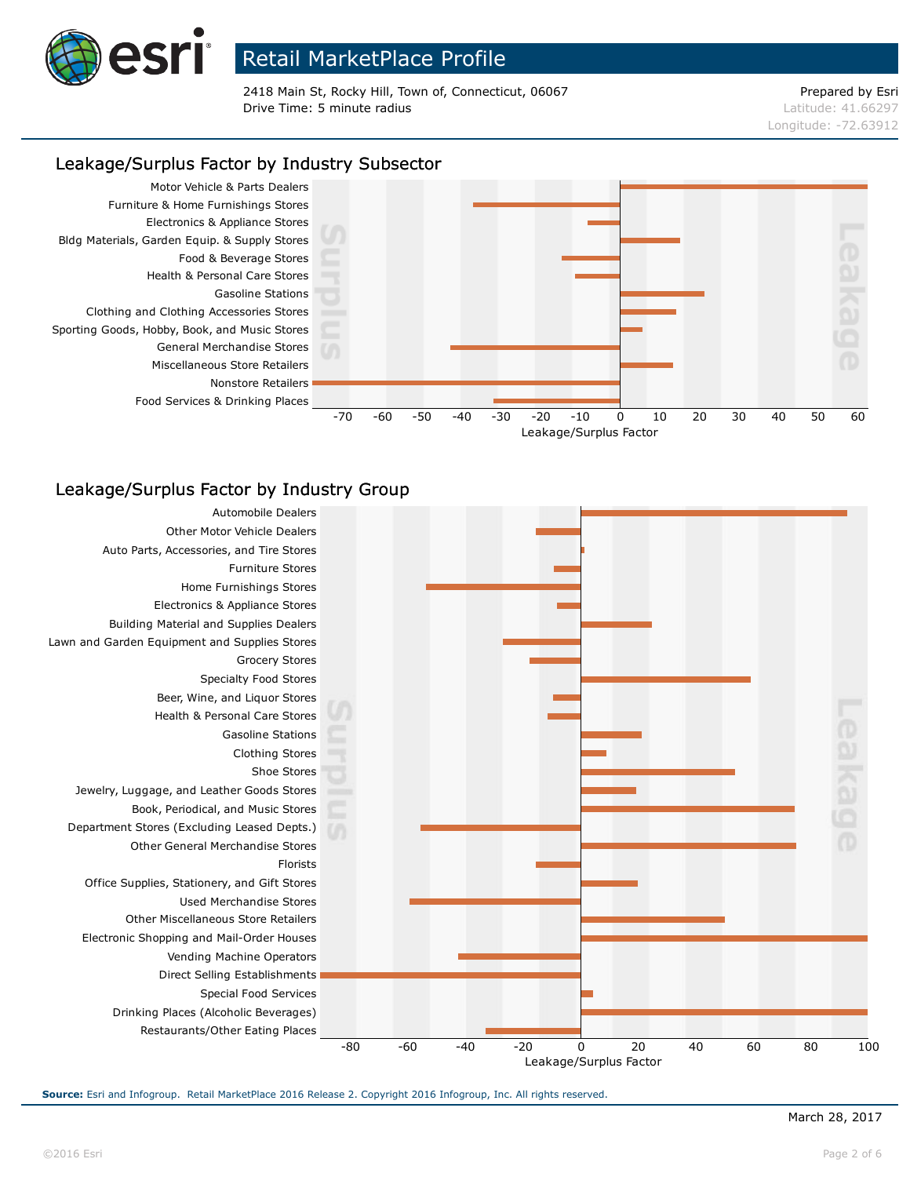

2418 Main St, Rocky Hill, Town of, Connecticut, 06067 Prepared by Esri **Drive Time: 5 minute radius Contract Contract Contract Contract Contract Contract Contract Contract Contract Contract Contract Contract Contract Contract Contract Contract Contract Contract Contract Contract Contract Co** 

# Longitude: -72.63912

### Leakage/Surplus Factor by Industry Subsector



### Leakage/Surplus Factor by Industry Group

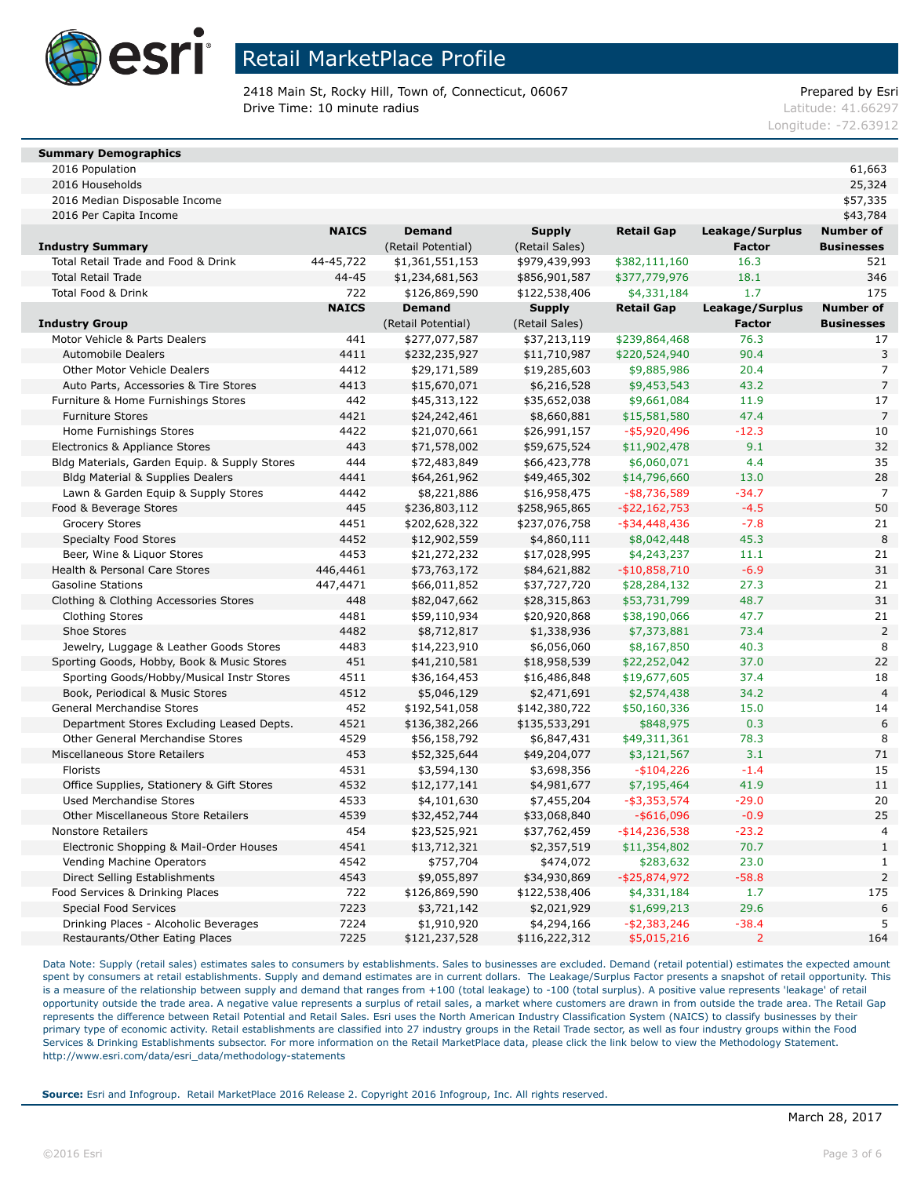

2418 Main St, Rocky Hill, Town of, Connecticut, 06067 Prepared by Esri **Drive Time: 10 minute radius Latitude: 41.66297** 

Longitude: -72.63912

### **Summary Demographics**

2016 Population 61,663 2016 Households 25,324

2016 Median Disposable Income \$57,335

| 2016 Per Capita Income | \$43.784 |
|------------------------|----------|

|                                               | <b>NAICS</b> | <b>Demand</b>      | <b>Supply</b>  | <b>Retail Gap</b> | Leakage/Surplus | Number of         |
|-----------------------------------------------|--------------|--------------------|----------------|-------------------|-----------------|-------------------|
| <b>Industry Summary</b>                       |              | (Retail Potential) | (Retail Sales) |                   | <b>Factor</b>   | <b>Businesses</b> |
| Total Retail Trade and Food & Drink           | 44-45,722    | \$1,361,551,153    | \$979,439,993  | \$382,111,160     | 16.3            | 521               |
| <b>Total Retail Trade</b>                     | $44 - 45$    | \$1,234,681,563    | \$856,901,587  | \$377,779,976     | 18.1            | 346               |
| <b>Total Food &amp; Drink</b>                 | 722          | \$126,869,590      | \$122,538,406  | \$4,331,184       | 1.7             | 175               |
|                                               | <b>NAICS</b> | <b>Demand</b>      | <b>Supply</b>  | <b>Retail Gap</b> | Leakage/Surplus | <b>Number of</b>  |
| <b>Industry Group</b>                         |              | (Retail Potential) | (Retail Sales) |                   | <b>Factor</b>   | <b>Businesses</b> |
| Motor Vehicle & Parts Dealers                 | 441          | \$277,077,587      | \$37,213,119   | \$239,864,468     | 76.3            | 17                |
| <b>Automobile Dealers</b>                     | 4411         | \$232,235,927      | \$11,710,987   | \$220,524,940     | 90.4            | 3                 |
| Other Motor Vehicle Dealers                   | 4412         | \$29,171,589       | \$19,285,603   | \$9,885,986       | 20.4            | $\overline{7}$    |
| Auto Parts, Accessories & Tire Stores         | 4413         | \$15,670,071       | \$6,216,528    | \$9,453,543       | 43.2            | $\overline{7}$    |
| Furniture & Home Furnishings Stores           | 442          | \$45,313,122       | \$35,652,038   | \$9,661,084       | 11.9            | 17                |
| <b>Furniture Stores</b>                       | 4421         | \$24,242,461       | \$8,660,881    | \$15,581,580      | 47.4            | $\overline{7}$    |
| Home Furnishings Stores                       | 4422         | \$21,070,661       | \$26,991,157   | $-$ \$5,920,496   | $-12.3$         | 10                |
| Electronics & Appliance Stores                | 443          | \$71,578,002       | \$59,675,524   | \$11,902,478      | 9.1             | 32                |
| Bldg Materials, Garden Equip. & Supply Stores | 444          | \$72,483,849       | \$66,423,778   | \$6,060,071       | 4.4             | 35                |
| Bldg Material & Supplies Dealers              | 4441         | \$64,261,962       | \$49,465,302   | \$14,796,660      | 13.0            | 28                |
| Lawn & Garden Equip & Supply Stores           | 4442         | \$8,221,886        | \$16,958,475   | $-$ \$8,736,589   | $-34.7$         | $\overline{7}$    |
| Food & Beverage Stores                        | 445          | \$236,803,112      | \$258,965,865  | $-$ \$22,162,753  | $-4.5$          | 50                |
| <b>Grocery Stores</b>                         | 4451         | \$202,628,322      | \$237,076,758  | $-$ \$34,448,436  | $-7.8$          | 21                |
| <b>Specialty Food Stores</b>                  | 4452         | \$12,902,559       | \$4,860,111    | \$8,042,448       | 45.3            | 8                 |
| Beer, Wine & Liquor Stores                    | 4453         | \$21,272,232       | \$17,028,995   | \$4,243,237       | 11.1            | 21                |
| Health & Personal Care Stores                 | 446,4461     | \$73,763,172       | \$84,621,882   | $-$10,858,710$    | $-6.9$          | 31                |
| <b>Gasoline Stations</b>                      | 447,4471     | \$66,011,852       | \$37,727,720   | \$28,284,132      | 27.3            | 21                |
| Clothing & Clothing Accessories Stores        | 448          | \$82,047,662       | \$28,315,863   | \$53,731,799      | 48.7            | 31                |
| Clothing Stores                               | 4481         | \$59,110,934       | \$20,920,868   | \$38,190,066      | 47.7            | 21                |
| Shoe Stores                                   | 4482         | \$8,712,817        | \$1,338,936    | \$7,373,881       | 73.4            | $\overline{2}$    |
| Jewelry, Luggage & Leather Goods Stores       | 4483         | \$14,223,910       | \$6,056,060    | \$8,167,850       | 40.3            | 8                 |
| Sporting Goods, Hobby, Book & Music Stores    | 451          | \$41,210,581       | \$18,958,539   | \$22,252,042      | 37.0            | 22                |
| Sporting Goods/Hobby/Musical Instr Stores     | 4511         | \$36,164,453       | \$16,486,848   | \$19,677,605      | 37.4            | 18                |
| Book, Periodical & Music Stores               | 4512         | \$5,046,129        | \$2,471,691    | \$2,574,438       | 34.2            | $\overline{4}$    |
| <b>General Merchandise Stores</b>             | 452          | \$192,541,058      | \$142,380,722  | \$50,160,336      | 15.0            | 14                |
| Department Stores Excluding Leased Depts.     | 4521         | \$136,382,266      | \$135,533,291  | \$848,975         | 0.3             | 6                 |
| <b>Other General Merchandise Stores</b>       | 4529         | \$56,158,792       | \$6,847,431    | \$49,311,361      | 78.3            | 8                 |
| Miscellaneous Store Retailers                 | 453          | \$52,325,644       | \$49,204,077   | \$3,121,567       | 3.1             | 71                |
| Florists                                      | 4531         | \$3,594,130        | \$3,698,356    | $-$104,226$       | $-1.4$          | 15                |
| Office Supplies, Stationery & Gift Stores     | 4532         | \$12,177,141       | \$4,981,677    | \$7,195,464       | 41.9            | 11                |
| Used Merchandise Stores                       | 4533         | \$4,101,630        | \$7,455,204    | $-$ \$3,353,574   | $-29.0$         | 20                |
| <b>Other Miscellaneous Store Retailers</b>    | 4539         | \$32,452,744       | \$33,068,840   | $-$ \$616,096     | $-0.9$          | 25                |
| <b>Nonstore Retailers</b>                     | 454          | \$23,525,921       | \$37,762,459   | $-$ \$14,236,538  | $-23.2$         | $\overline{4}$    |
| Electronic Shopping & Mail-Order Houses       | 4541         | \$13,712,321       | \$2,357,519    | \$11,354,802      | 70.7            | $1\,$             |
| Vending Machine Operators                     | 4542         | \$757,704          | \$474,072      | \$283,632         | 23.0            | $\mathbf{1}$      |
| Direct Selling Establishments                 | 4543         | \$9,055,897        | \$34,930,869   | $-$ \$25,874,972  | $-58.8$         | $\mathsf{2}\,$    |
| Food Services & Drinking Places               | 722          | \$126,869,590      | \$122,538,406  | \$4,331,184       | 1.7             | 175               |
| <b>Special Food Services</b>                  | 7223         | \$3,721,142        | \$2,021,929    | \$1,699,213       | 29.6            | 6                 |
| Drinking Places - Alcoholic Beverages         | 7224         | \$1,910,920        | \$4,294,166    | $- $2,383,246$    | $-38.4$         | 5                 |
| Restaurants/Other Eating Places               | 7225         | \$121,237,528      | \$116,222,312  | \$5,015,216       | $\overline{2}$  | 164               |

Data Note: Supply (retail sales) estimates sales to consumers by establishments. Sales to businesses are excluded. Demand (retail potential) estimates the expected amount spent by consumers at retail establishments. Supply and demand estimates are in current dollars. The Leakage/Surplus Factor presents a snapshot of retail opportunity. This is a measure of the relationship between supply and demand that ranges from +100 (total leakage) to -100 (total surplus). A positive value represents 'leakage' of retail opportunity outside the trade area. A negative value represents a surplus of retail sales, a market where customers are drawn in from outside the trade area. The Retail Gap represents the difference between Retail Potential and Retail Sales. Esri uses the North American Industry Classification System (NAICS) to classify businesses by their primary type of economic activity. Retail establishments are classified into 27 industry groups in the Retail Trade sector, as well as four industry groups within the Food Services & Drinking Establishments subsector. For more information on the Retail MarketPlace data, please click the link below to view the Methodology Statement. http://www.esri.com/data/esri\_data/methodology-statements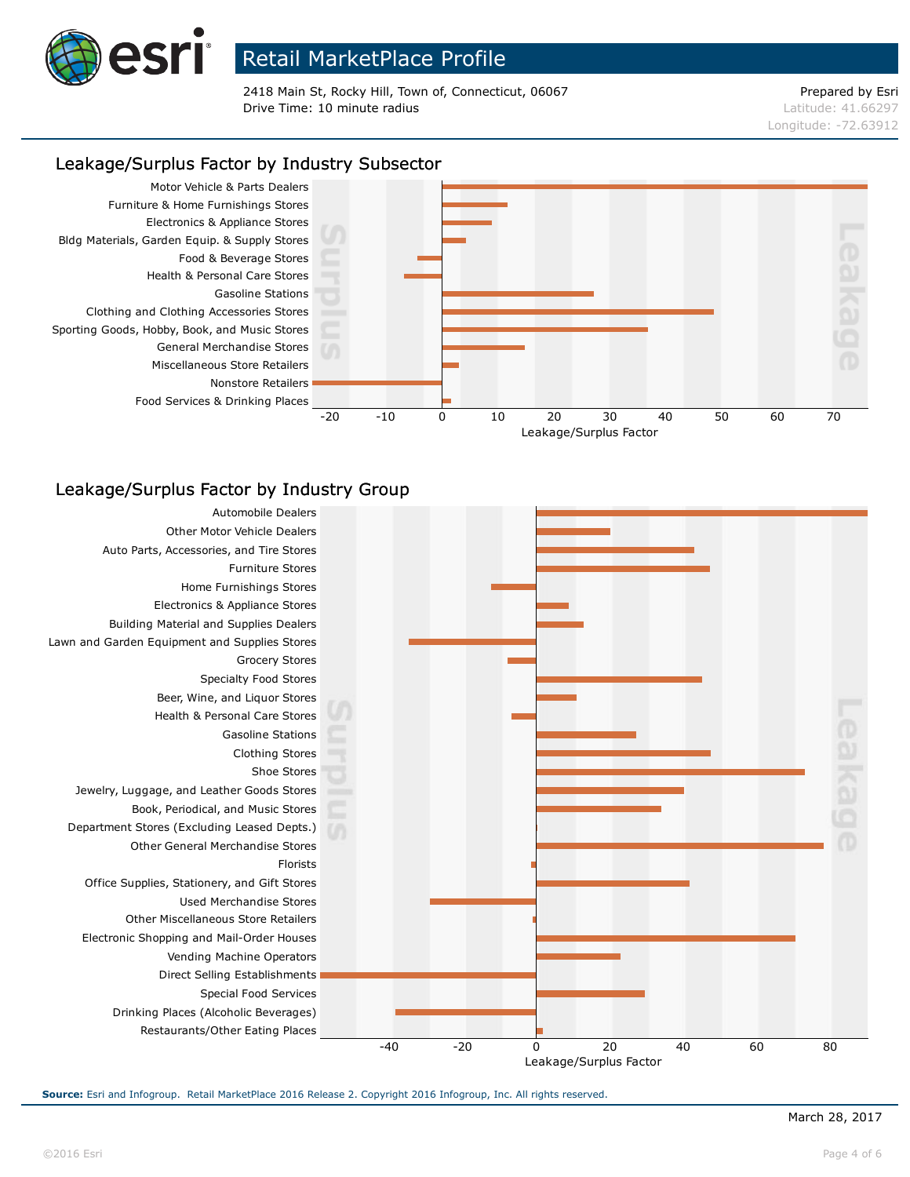

2418 Main St, Rocky Hill, Town of, Connecticut, 06067 Prepared by Esri **Drive Time: 10 minute radius Latitude: 41.66297** 

# Longitude: -72.63912

### Leakage/Surplus Factor by Industry Subsector



### Leakage/Surplus Factor by Industry Group

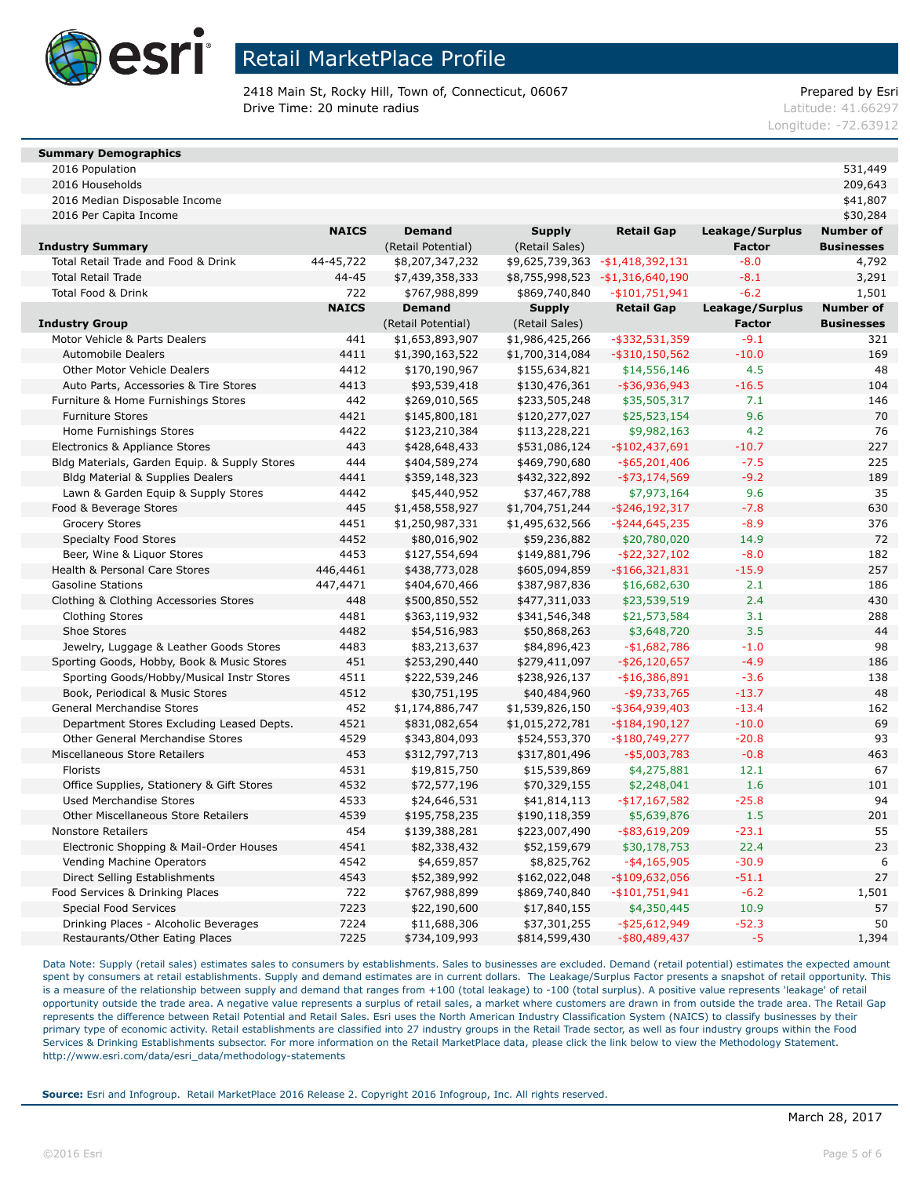

2418 Main St, Rocky Hill, Town of, Connecticut, 06067 Prepared by Esri **Drive Time: 20 minute radius Latitude: 41.66297** 

Longitude: -72.63912

#### **Summary Demographics**

2016 Population 531,449 2016 Households 209,643 2016 Median Disposable Income \$41,807

| 2016 Per Capita Income                        |              |                    |                 |                                   |                 | \$30,284          |
|-----------------------------------------------|--------------|--------------------|-----------------|-----------------------------------|-----------------|-------------------|
|                                               | <b>NAICS</b> | <b>Demand</b>      | <b>Supply</b>   | <b>Retail Gap</b>                 | Leakage/Surplus | <b>Number of</b>  |
| <b>Industry Summary</b>                       |              | (Retail Potential) | (Retail Sales)  |                                   | <b>Factor</b>   | <b>Businesses</b> |
| Total Retail Trade and Food & Drink           | 44-45,722    | \$8,207,347,232    |                 | \$9,625,739,363 - \$1,418,392,131 | $-8.0$          | 4,792             |
| <b>Total Retail Trade</b>                     | 44-45        | \$7,439,358,333    |                 | \$8,755,998,523 - \$1,316,640,190 | $-8.1$          | 3,291             |
| Total Food & Drink                            | 722          | \$767,988,899      | \$869,740,840   | $-$101,751,941$                   | $-6.2$          | 1,501             |
|                                               | <b>NAICS</b> | <b>Demand</b>      | <b>Supply</b>   | <b>Retail Gap</b>                 | Leakage/Surplus | <b>Number of</b>  |
| <b>Industry Group</b>                         |              | (Retail Potential) | (Retail Sales)  |                                   | <b>Factor</b>   | <b>Businesses</b> |
| Motor Vehicle & Parts Dealers                 | 441          | \$1,653,893,907    | \$1,986,425,266 | $-$ \$332,531,359                 | $-9.1$          | 321               |
| <b>Automobile Dealers</b>                     | 4411         | \$1,390,163,522    | \$1,700,314,084 | $-$ \$310,150,562                 | $-10.0$         | 169               |
| Other Motor Vehicle Dealers                   | 4412         | \$170,190,967      | \$155,634,821   | \$14,556,146                      | 4.5             | 48                |
| Auto Parts, Accessories & Tire Stores         | 4413         | \$93,539,418       | \$130,476,361   | $-$ \$36,936,943                  | $-16.5$         | 104               |
| Furniture & Home Furnishings Stores           | 442          | \$269,010,565      | \$233,505,248   | \$35,505,317                      | 7.1             | 146               |
| <b>Furniture Stores</b>                       | 4421         | \$145,800,181      | \$120,277,027   | \$25,523,154                      | 9.6             | 70                |
| Home Furnishings Stores                       | 4422         | \$123,210,384      | \$113,228,221   | \$9,982,163                       | 4.2             | 76                |
| Electronics & Appliance Stores                | 443          | \$428,648,433      | \$531,086,124   | $-$102,437,691$                   | $-10.7$         | 227               |
| Bldg Materials, Garden Equip. & Supply Stores | 444          | \$404,589,274      | \$469,790,680   | $-$ \$65,201,406                  | $-7.5$          | 225               |
| <b>Bldg Material &amp; Supplies Dealers</b>   | 4441         | \$359,148,323      | \$432,322,892   | $-$ \$73,174,569                  | $-9.2$          | 189               |
| Lawn & Garden Equip & Supply Stores           | 4442         | \$45,440,952       | \$37,467,788    | \$7,973,164                       | 9.6             | 35                |
| Food & Beverage Stores                        | 445          | \$1,458,558,927    | \$1,704,751,244 | $-$ \$246,192,317                 | $-7.8$          | 630               |
| <b>Grocery Stores</b>                         | 4451         | \$1,250,987,331    | \$1,495,632,566 | $-$ \$244,645,235                 | $-8.9$          | 376               |
| <b>Specialty Food Stores</b>                  | 4452         | \$80,016,902       | \$59,236,882    | \$20,780,020                      | 14.9            | 72                |
| Beer, Wine & Liquor Stores                    | 4453         | \$127,554,694      | \$149,881,796   | $-$ \$22,327,102                  | $-8.0$          | 182               |
| Health & Personal Care Stores                 | 446,4461     | \$438,773,028      | \$605,094,859   | $-$166,321,831$                   | $-15.9$         | 257               |
| <b>Gasoline Stations</b>                      | 447,4471     | \$404,670,466      | \$387,987,836   | \$16,682,630                      | 2.1             | 186               |
| Clothing & Clothing Accessories Stores        | 448          | \$500,850,552      | \$477,311,033   | \$23,539,519                      | 2.4             | 430               |
| <b>Clothing Stores</b>                        | 4481         | \$363,119,932      | \$341,546,348   | \$21,573,584                      | 3.1             | 288               |
| Shoe Stores                                   | 4482         | \$54,516,983       | \$50,868,263    | \$3,648,720                       | 3.5             | 44                |
| Jewelry, Luggage & Leather Goods Stores       | 4483         | \$83,213,637       | \$84,896,423    | $-$1,682,786$                     | $-1.0$          | 98                |
| Sporting Goods, Hobby, Book & Music Stores    | 451          | \$253,290,440      | \$279,411,097   | $-$ \$26,120,657                  | $-4.9$          | 186               |
| Sporting Goods/Hobby/Musical Instr Stores     | 4511         | \$222,539,246      | \$238,926,137   | $- $16,386,891$                   | $-3.6$          | 138               |
| Book, Periodical & Music Stores               | 4512         | \$30,751,195       | \$40,484,960    | $-$ \$9,733,765                   | $-13.7$         | 48                |
| General Merchandise Stores                    | 452          | \$1,174,886,747    | \$1,539,826,150 | $-$ \$364,939,403                 | $-13.4$         | 162               |
| Department Stores Excluding Leased Depts.     | 4521         | \$831,082,654      | \$1,015,272,781 | $-$ \$184,190,127                 | $-10.0$         | 69                |
| Other General Merchandise Stores              | 4529         | \$343,804,093      | \$524,553,370   | $-$180,749,277$                   | $-20.8$         | 93                |
| Miscellaneous Store Retailers                 | 453          | \$312,797,713      | \$317,801,496   | $-$ \$5,003,783                   | $-0.8$          | 463               |
| Florists                                      | 4531         | \$19,815,750       | \$15,539,869    | \$4,275,881                       | 12.1            | 67                |
| Office Supplies, Stationery & Gift Stores     | 4532         | \$72,577,196       | \$70,329,155    | \$2,248,041                       | 1.6             | 101               |
| <b>Used Merchandise Stores</b>                | 4533         | \$24,646,531       | \$41,814,113    | $-$ \$17,167,582                  | $-25.8$         | 94                |
| <b>Other Miscellaneous Store Retailers</b>    | 4539         | \$195,758,235      | \$190,118,359   | \$5,639,876                       | 1.5             | 201               |
| <b>Nonstore Retailers</b>                     | 454          | \$139,388,281      | \$223,007,490   | $-$ \$83,619,209                  | $-23.1$         | 55                |
| Electronic Shopping & Mail-Order Houses       | 4541         | \$82,338,432       | \$52,159,679    | \$30,178,753                      | 22.4            | 23                |
| Vending Machine Operators                     | 4542         | \$4,659,857        | \$8,825,762     | $-$ \$4,165,905                   | $-30.9$         | 6                 |
| Direct Selling Establishments                 | 4543         | \$52,389,992       | \$162,022,048   | $-$109,632,056$                   | $-51.1$         | 27                |
| Food Services & Drinking Places               | 722          | \$767,988,899      | \$869,740,840   | -\$101,751,941                    | $-6.2$          | 1,501             |
| <b>Special Food Services</b>                  | 7223         | \$22,190,600       | \$17,840,155    | \$4,350,445                       | 10.9            | 57                |
| Drinking Places - Alcoholic Beverages         | 7224         | \$11,688,306       | \$37,301,255    | $-$ \$25,612,949                  | $-52.3$         | 50                |
| Restaurants/Other Eating Places               | 7225         | \$734,109,993      | \$814,599,430   | $-$ \$80,489,437                  | $-5$            | 1,394             |

Data Note: Supply (retail sales) estimates sales to consumers by establishments. Sales to businesses are excluded. Demand (retail potential) estimates the expected amount spent by consumers at retail establishments. Supply and demand estimates are in current dollars. The Leakage/Surplus Factor presents a snapshot of retail opportunity. This is a measure of the relationship between supply and demand that ranges from +100 (total leakage) to -100 (total surplus). A positive value represents 'leakage' of retail opportunity outside the trade area. A negative value represents a surplus of retail sales, a market where customers are drawn in from outside the trade area. The Retail Gap represents the difference between Retail Potential and Retail Sales. Esri uses the North American Industry Classification System (NAICS) to classify businesses by their primary type of economic activity. Retail establishments are classified into 27 industry groups in the Retail Trade sector, as well as four industry groups within the Food Services & Drinking Establishments subsector. For more information on the Retail MarketPlace data, please click the link below to view the Methodology Statement. http://www.esri.com/data/esri\_data/methodology-statements